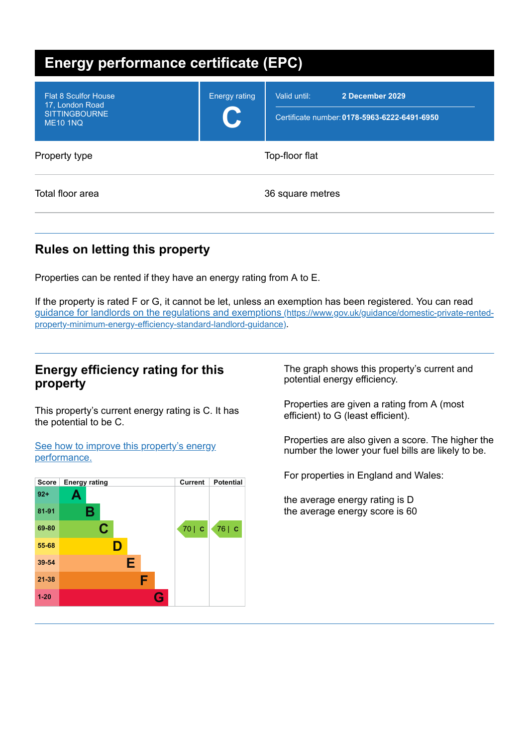| <b>Energy performance certificate (EPC)</b>                                               |                           |                                                                                 |  |
|-------------------------------------------------------------------------------------------|---------------------------|---------------------------------------------------------------------------------|--|
| <b>Flat 8 Sculfor House</b><br>17, London Road<br><b>SITTINGBOURNE</b><br><b>ME10 1NQ</b> | <b>Energy rating</b><br>U | Valid until:<br>2 December 2029<br>Certificate number: 0178-5963-6222-6491-6950 |  |
| Property type                                                                             | Top-floor flat            |                                                                                 |  |
| Total floor area                                                                          | 36 square metres          |                                                                                 |  |

# **Rules on letting this property**

Properties can be rented if they have an energy rating from A to E.

If the property is rated F or G, it cannot be let, unless an exemption has been registered. You can read guidance for landlords on the regulations and exemptions (https://www.gov.uk/guidance/domestic-private-rented[property-minimum-energy-efficiency-standard-landlord-guidance\)](https://www.gov.uk/guidance/domestic-private-rented-property-minimum-energy-efficiency-standard-landlord-guidance).

# **Energy efficiency rating for this property**

This property's current energy rating is C. It has the potential to be C.

See how to improve this property's energy [performance.](#page-2-0)



The graph shows this property's current and potential energy efficiency.

Properties are given a rating from A (most efficient) to G (least efficient).

Properties are also given a score. The higher the number the lower your fuel bills are likely to be.

For properties in England and Wales:

the average energy rating is D the average energy score is 60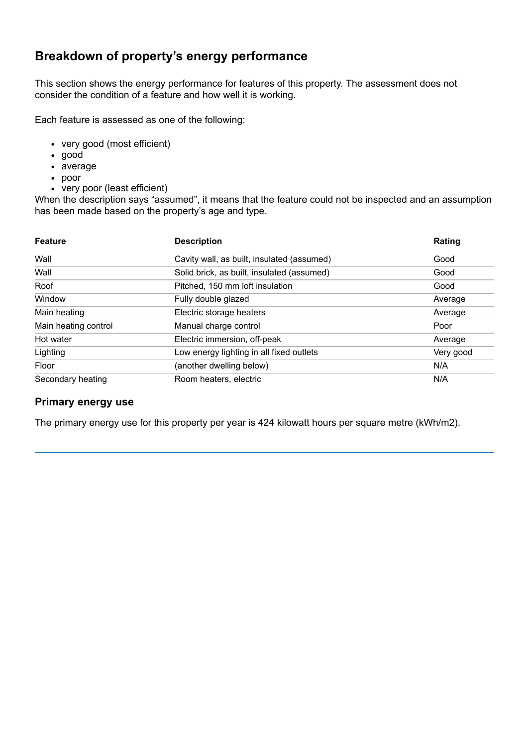# **Breakdown of property's energy performance**

This section shows the energy performance for features of this property. The assessment does not consider the condition of a feature and how well it is working.

Each feature is assessed as one of the following:

- very good (most efficient)
- good
- average
- poor
- very poor (least efficient)

When the description says "assumed", it means that the feature could not be inspected and an assumption has been made based on the property's age and type.

| <b>Feature</b>       | <b>Description</b>                         | Rating    |
|----------------------|--------------------------------------------|-----------|
| Wall                 | Cavity wall, as built, insulated (assumed) | Good      |
| Wall                 | Solid brick, as built, insulated (assumed) | Good      |
| Roof                 | Pitched, 150 mm loft insulation            | Good      |
| Window               | Fully double glazed                        | Average   |
| Main heating         | Electric storage heaters                   | Average   |
| Main heating control | Manual charge control                      | Poor      |
| Hot water            | Electric immersion, off-peak               | Average   |
| Lighting             | Low energy lighting in all fixed outlets   | Very good |
| Floor                | (another dwelling below)                   | N/A       |
| Secondary heating    | Room heaters, electric                     | N/A       |

## **Primary energy use**

The primary energy use for this property per year is 424 kilowatt hours per square metre (kWh/m2).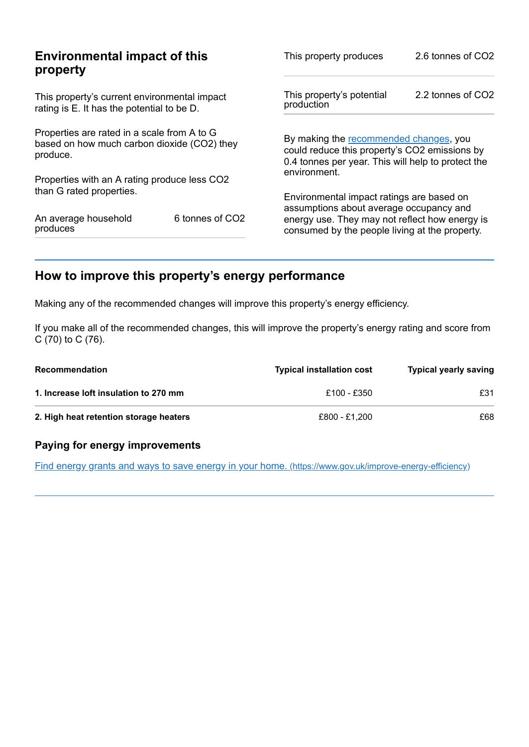| <b>Environmental impact of this</b>                                                                    | This property produces                                                                           | 2.6 tonnes of CO2                                                                                                                             |  |
|--------------------------------------------------------------------------------------------------------|--------------------------------------------------------------------------------------------------|-----------------------------------------------------------------------------------------------------------------------------------------------|--|
| This property's current environmental impact<br>rating is E. It has the potential to be D.             |                                                                                                  | 2.2 tonnes of CO2                                                                                                                             |  |
| Properties are rated in a scale from A to G<br>based on how much carbon dioxide (CO2) they<br>produce. |                                                                                                  | By making the recommended changes, you<br>could reduce this property's CO2 emissions by<br>0.4 tonnes per year. This will help to protect the |  |
| Properties with an A rating produce less CO2                                                           |                                                                                                  |                                                                                                                                               |  |
|                                                                                                        | Environmental impact ratings are based on                                                        |                                                                                                                                               |  |
| 6 tonnes of CO2                                                                                        | energy use. They may not reflect how energy is<br>consumed by the people living at the property. |                                                                                                                                               |  |
|                                                                                                        |                                                                                                  | This property's potential<br>production<br>environment.<br>assumptions about average occupancy and                                            |  |

# <span id="page-2-0"></span>**How to improve this property's energy performance**

Making any of the recommended changes will improve this property's energy efficiency.

If you make all of the recommended changes, this will improve the property's energy rating and score from C (70) to C (76).

| <b>Recommendation</b>                  | <b>Typical installation cost</b> | <b>Typical yearly saving</b> |
|----------------------------------------|----------------------------------|------------------------------|
| 1. Increase loft insulation to 270 mm  | £100 - £350                      | £31                          |
| 2. High heat retention storage heaters | £800 - £1.200                    | £68                          |

## **Paying for energy improvements**

Find energy grants and ways to save energy in your home. [\(https://www.gov.uk/improve-energy-efficiency\)](https://www.gov.uk/improve-energy-efficiency)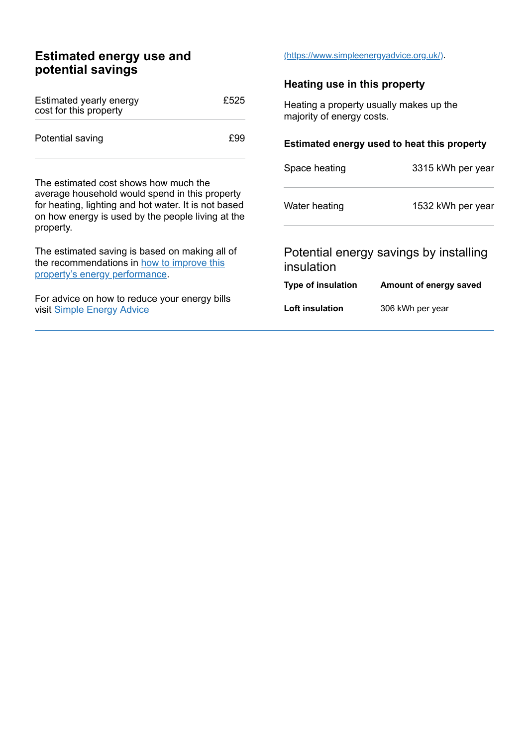# **Estimated energy use and potential savings**

| Estimated yearly energy<br>cost for this property | £525 |
|---------------------------------------------------|------|
| Potential saving                                  | f99  |

The estimated cost shows how much the average household would spend in this property for heating, lighting and hot water. It is not based on how energy is used by the people living at the property.

The estimated saving is based on making all of the [recommendations](#page-2-0) in how to improve this property's energy performance.

For advice on how to reduce your energy bills visit Simple [Energy](https://www.simpleenergyadvice.org.uk/) Advice

#### [\(https://www.simpleenergyadvice.org.uk/\)](https://www.simpleenergyadvice.org.uk/).

#### **Heating use in this property**

Heating a property usually makes up the majority of energy costs.

#### **Estimated energy used to heat this property**

| Space heating | 3315 kWh per year |
|---------------|-------------------|
| Water heating | 1532 kWh per year |
|               | .                 |

## Potential energy savings by installing insulation

#### **Type of insulation Amount of energy saved**

**Loft insulation** 306 kWh per year